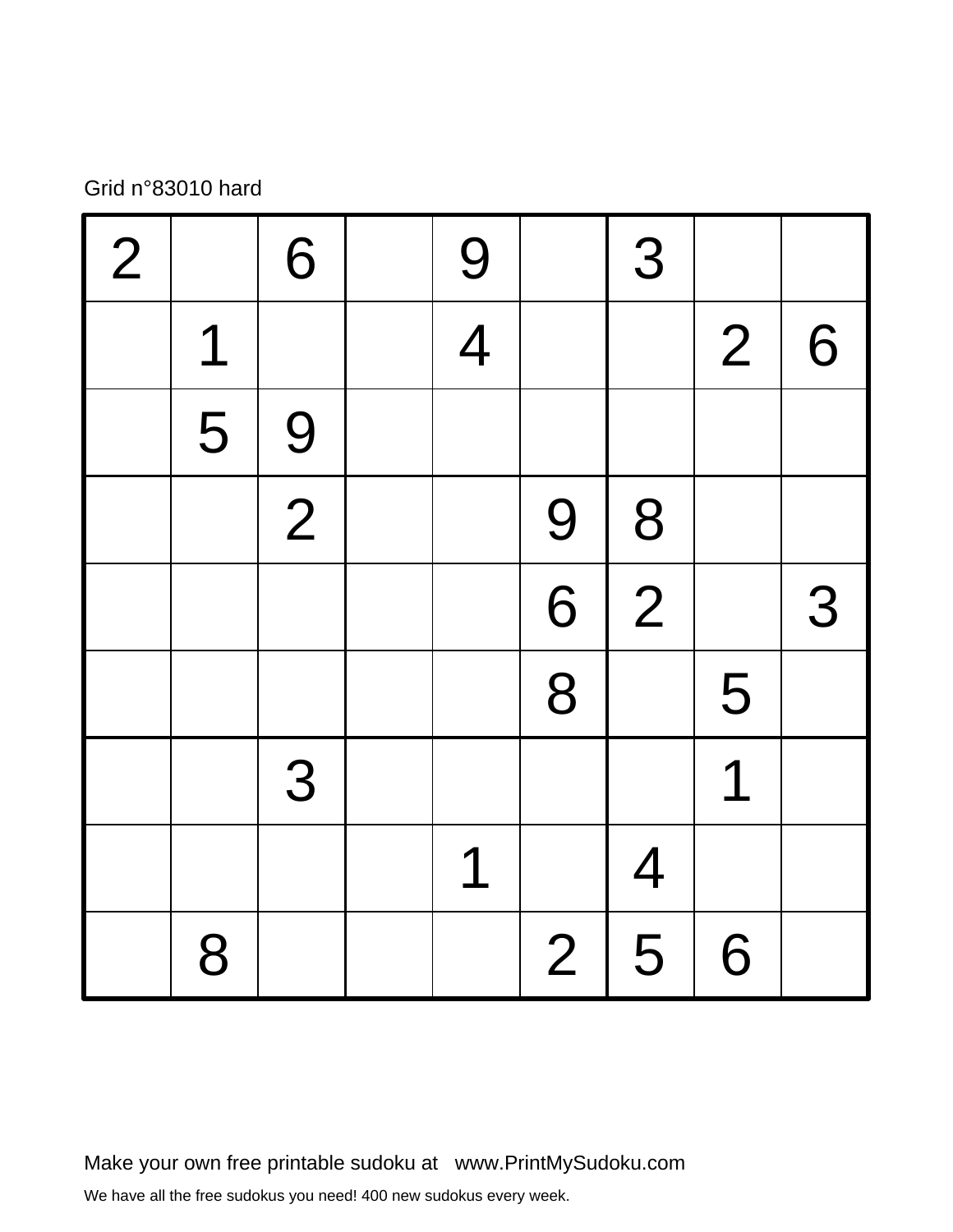## Grid n°83010 hard

| $\vert$ 2 |                                                             | 6           | 9              |                | 3              |                |   |
|-----------|-------------------------------------------------------------|-------------|----------------|----------------|----------------|----------------|---|
|           | $\begin{array}{c} \n \overline{\phantom{a}} \n \end{array}$ |             | $\overline{4}$ |                |                | $\overline{2}$ | 6 |
|           | 5                                                           | 9           |                |                |                |                |   |
|           |                                                             | $\boxed{2}$ |                | 9              | 8              |                |   |
|           |                                                             |             |                | $\overline{6}$ | $\overline{2}$ |                | 3 |
|           |                                                             |             |                | 8              |                | 5              |   |
|           |                                                             | 3           |                |                |                | 1              |   |
|           |                                                             |             | 1              |                | $\overline{4}$ |                |   |
|           | 8                                                           |             |                | $\overline{2}$ | 5              | 6              |   |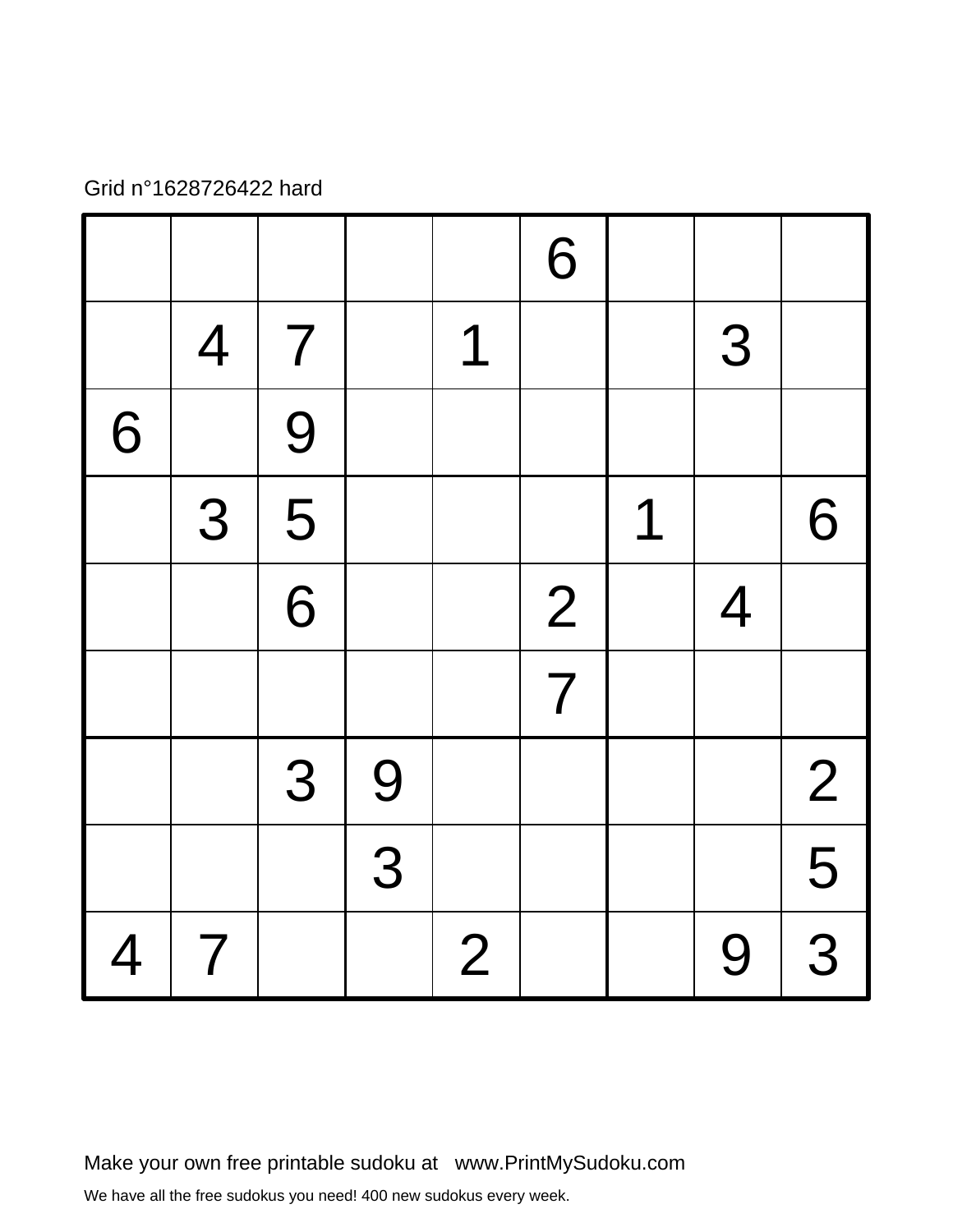## Grid n°1628726422 hard

|                |                |                           |                |                | 6              |   |                |                         |
|----------------|----------------|---------------------------|----------------|----------------|----------------|---|----------------|-------------------------|
|                | $\overline{4}$ | $\overline{7}$            |                | 1              |                |   | 3              |                         |
| 6              |                | 9                         |                |                |                |   |                |                         |
|                | 3              | $\overline{\overline{5}}$ |                |                |                | 1 |                | 6                       |
|                |                | $\overline{6}$            |                |                | 2              |   | $\overline{4}$ |                         |
|                |                |                           |                |                | $\overline{7}$ |   |                |                         |
|                |                | 3                         | 9              |                |                |   |                | $\overline{2}$          |
|                |                |                           | $\overline{3}$ |                |                |   |                | 5                       |
| $\overline{4}$ | $\overline{7}$ |                           |                | $\overline{2}$ |                |   | 9              | $\overline{\mathbf{3}}$ |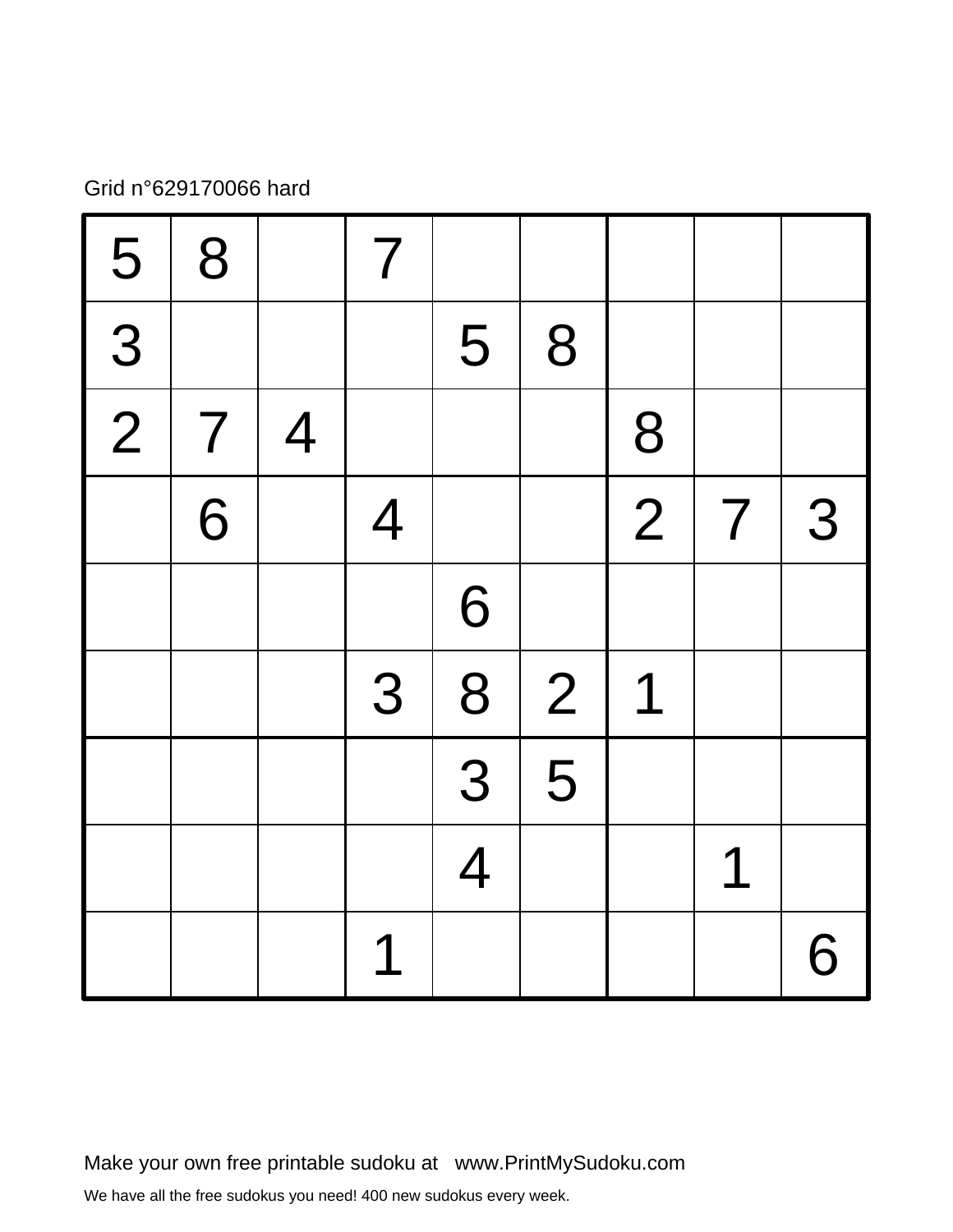# Grid n°629170066 hard

| 5           | 8              |                | $\overline{7}$ |                |                |                |                |   |
|-------------|----------------|----------------|----------------|----------------|----------------|----------------|----------------|---|
| 3           |                |                |                | 5              | 8              |                |                |   |
| $\boxed{2}$ | $\overline{7}$ | $\overline{4}$ |                |                |                | 8              |                |   |
|             | 6              |                | $\overline{4}$ |                |                | $\overline{2}$ | $\overline{7}$ | 3 |
|             |                |                |                | 6              |                |                |                |   |
|             |                |                | 3              | 8              | $\overline{2}$ | 1              |                |   |
|             |                |                |                | 3              | 5              |                |                |   |
|             |                |                |                | $\overline{4}$ |                |                | 1              |   |
|             |                |                | 1              |                |                |                |                | 6 |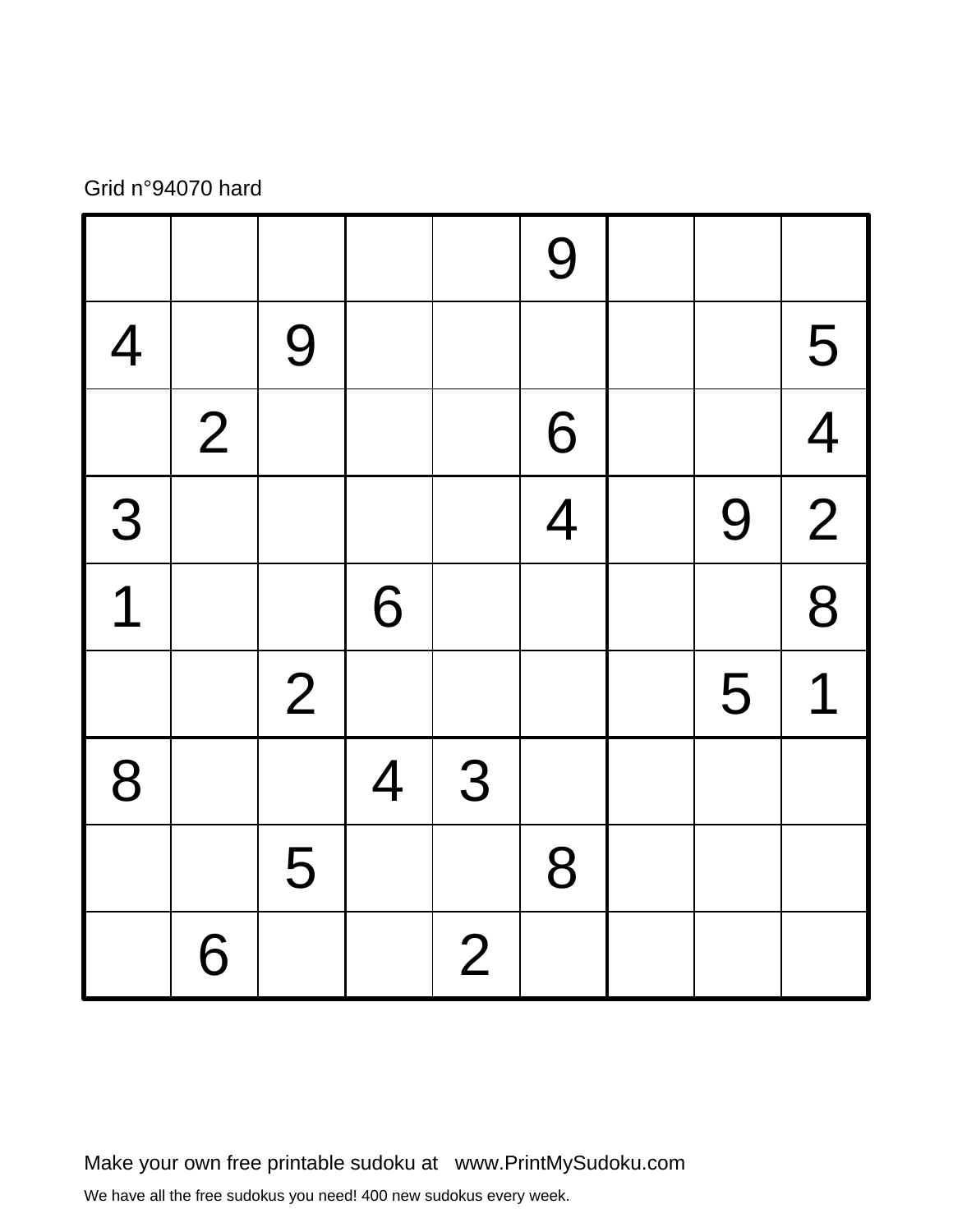## Grid n°94070 hard

|                |                |                |                |                | 9              |   |                |
|----------------|----------------|----------------|----------------|----------------|----------------|---|----------------|
| $\overline{4}$ |                | 9              |                |                |                |   | 5              |
|                | $\overline{2}$ |                |                |                | 6              |   | $\overline{4}$ |
| 3              |                |                |                |                | $\overline{4}$ | 9 | $\frac{1}{2}$  |
| $\overline{1}$ |                |                | 6              |                |                |   | 8              |
|                |                | $\overline{2}$ |                |                |                | 5 | 1              |
| 8              |                |                | $\overline{4}$ | 3              |                |   |                |
|                |                | 5              |                |                | 8              |   |                |
|                | 6              |                |                | $\overline{2}$ |                |   |                |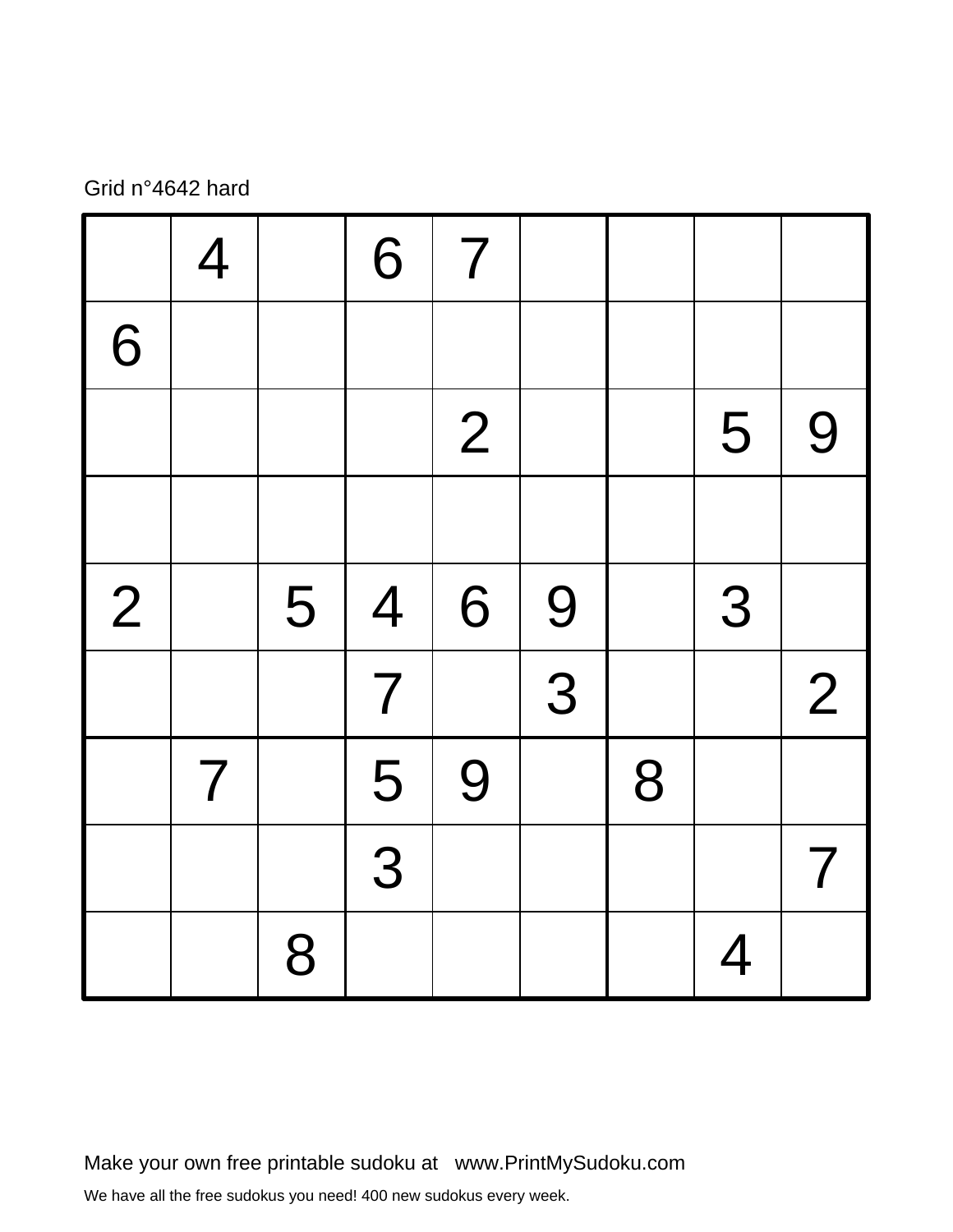## Grid n°4642 hard

|                | $\overline{4}$ |   | 6                       | $\overline{7}$ |   |   |                |                          |
|----------------|----------------|---|-------------------------|----------------|---|---|----------------|--------------------------|
| 6              |                |   |                         |                |   |   |                |                          |
|                |                |   |                         | $\overline{2}$ |   |   | 5              | 9                        |
|                |                |   |                         |                |   |   |                |                          |
| $\overline{2}$ |                | 5 | $\overline{4}$          | 6              | 9 |   | 3              |                          |
|                |                |   | $\overline{\mathbf{7}}$ |                | 3 |   |                | $\overline{2}$           |
|                | $\overline{7}$ |   | 5                       | 9              |   | 8 |                |                          |
|                |                |   | 3                       |                |   |   |                | $\overline{\mathcal{I}}$ |
|                |                | 8 |                         |                |   |   | $\overline{4}$ |                          |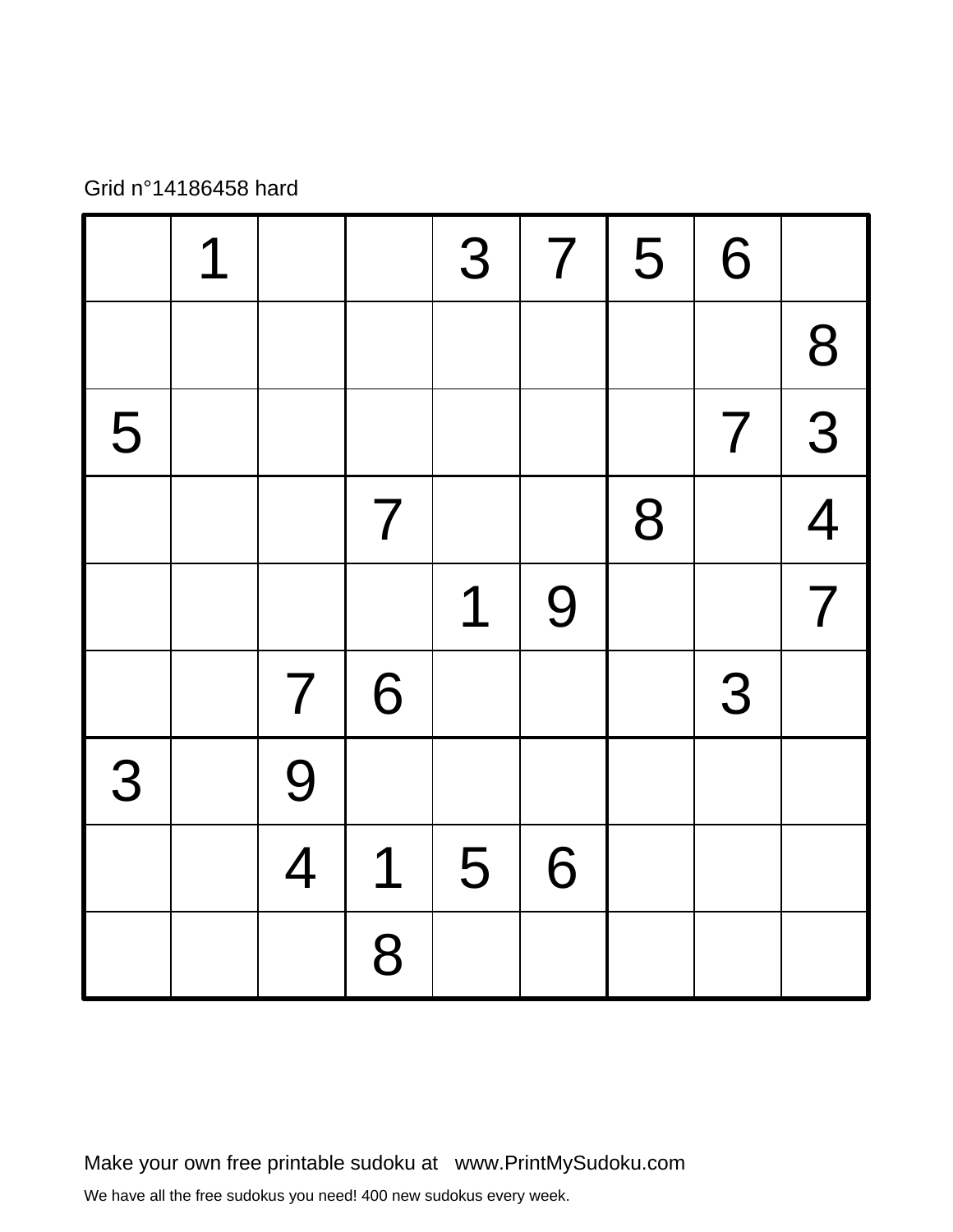Grid n°14186458 hard

|   | 1 |                |                | 3 | $\overline{\mathbf{7}}$ | 5 | 6              |                |
|---|---|----------------|----------------|---|-------------------------|---|----------------|----------------|
|   |   |                |                |   |                         |   |                | 8              |
| 5 |   |                |                |   |                         |   | $\overline{7}$ | 3              |
|   |   |                | $\overline{7}$ |   |                         | 8 |                | $\overline{4}$ |
|   |   |                |                | 1 | 9                       |   |                | $\overline{7}$ |
|   |   | $\overline{7}$ | 6              |   |                         |   | 3              |                |
| 3 |   | 9              |                |   |                         |   |                |                |
|   |   | $\overline{4}$ | 1              | 5 | 6                       |   |                |                |
|   |   |                | 8              |   |                         |   |                |                |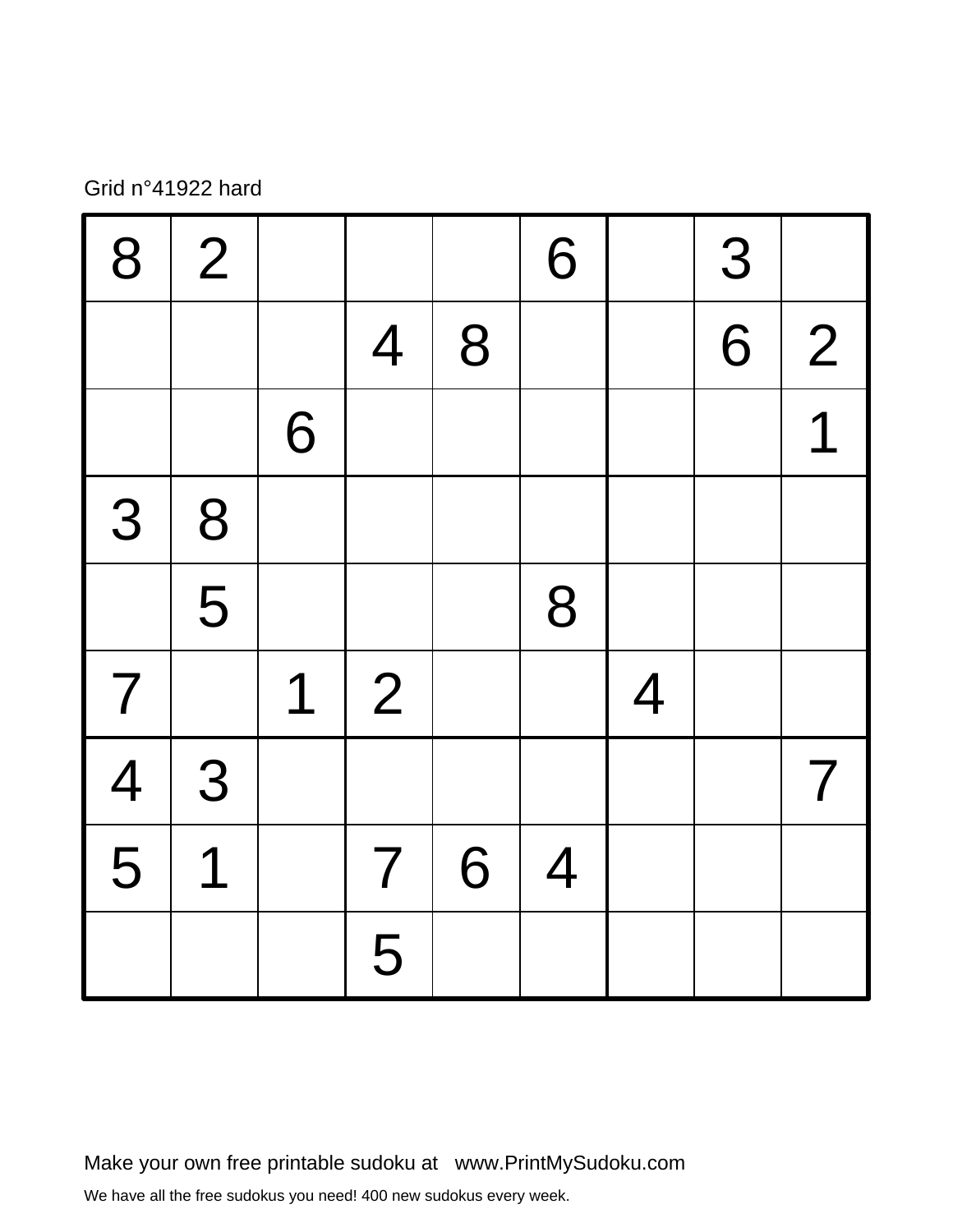## Grid n°41922 hard

| 8              | $\overline{2}$ |   |                |   | 6              |                | 3 |                          |
|----------------|----------------|---|----------------|---|----------------|----------------|---|--------------------------|
|                |                |   | $\overline{4}$ | 8 |                |                | 6 | $\overline{2}$           |
|                |                | 6 |                |   |                |                |   | $\overline{\mathcal{L}}$ |
| 3              | 8              |   |                |   |                |                |   |                          |
|                | 5              |   |                |   | 8              |                |   |                          |
| $\overline{7}$ |                | 1 | $\overline{2}$ |   |                | $\overline{4}$ |   |                          |
| $\frac{4}{5}$  | 3              |   |                |   |                |                |   | $\overline{7}$           |
|                | 1              |   | $\overline{7}$ | 6 | $\overline{4}$ |                |   |                          |
|                |                |   | 5              |   |                |                |   |                          |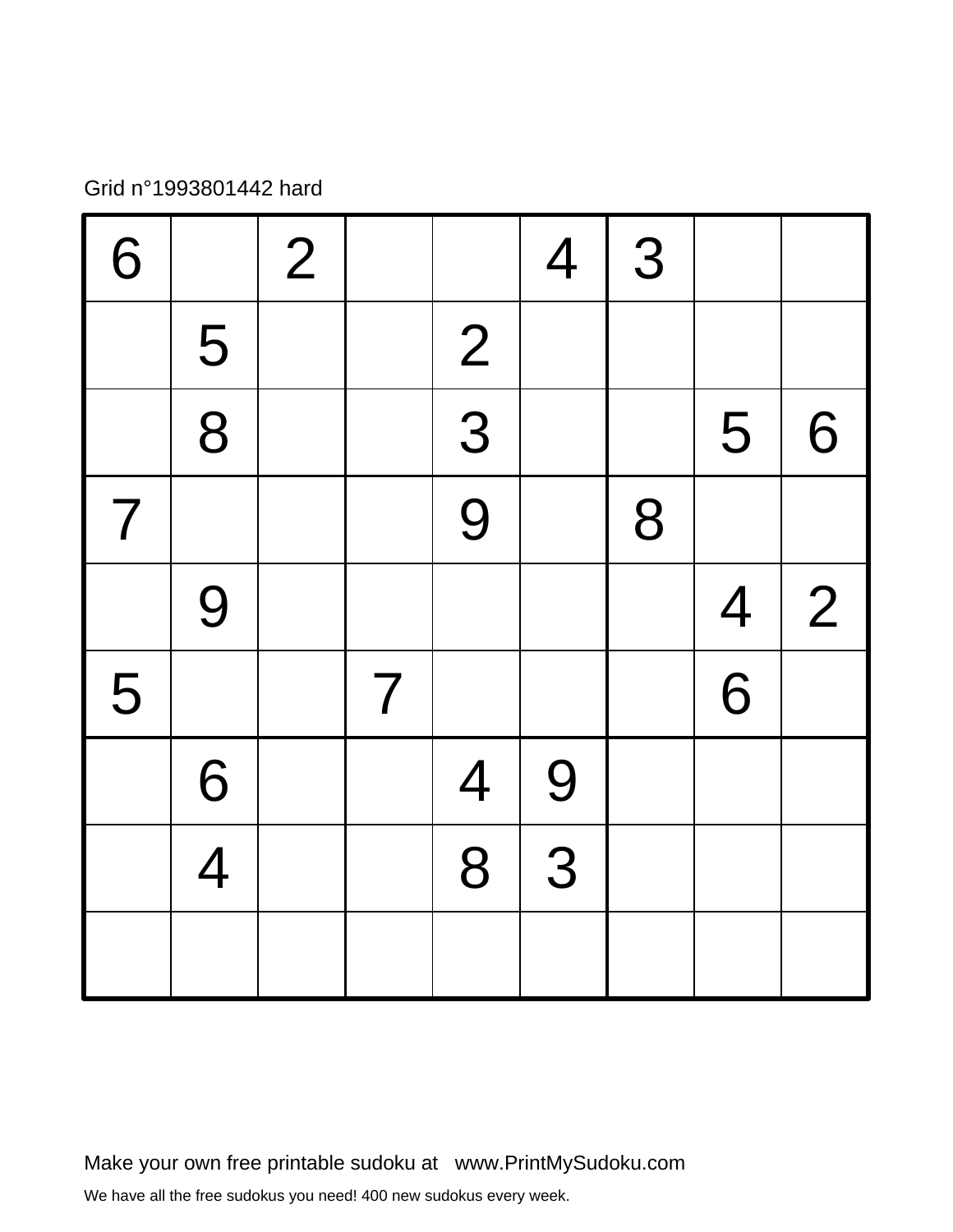## Grid n°1993801442 hard

| 6              |                | $\overline{2}$ |                |                | $\overline{4}$ | 3 |                |                |
|----------------|----------------|----------------|----------------|----------------|----------------|---|----------------|----------------|
|                | 5              |                |                | $\overline{2}$ |                |   |                |                |
|                | $\frac{1}{8}$  |                |                | $\frac{1}{3}$  |                |   | 5              | 6              |
| $\overline{7}$ |                |                |                | 9              |                | 8 |                |                |
|                | 9              |                |                |                |                |   | $\overline{4}$ | $\overline{2}$ |
| 5              |                |                | $\overline{7}$ |                |                |   | $\overline{6}$ |                |
|                | 6              |                |                | $\overline{4}$ | 9              |   |                |                |
|                | $\overline{4}$ |                |                | 8              | $\overline{3}$ |   |                |                |
|                |                |                |                |                |                |   |                |                |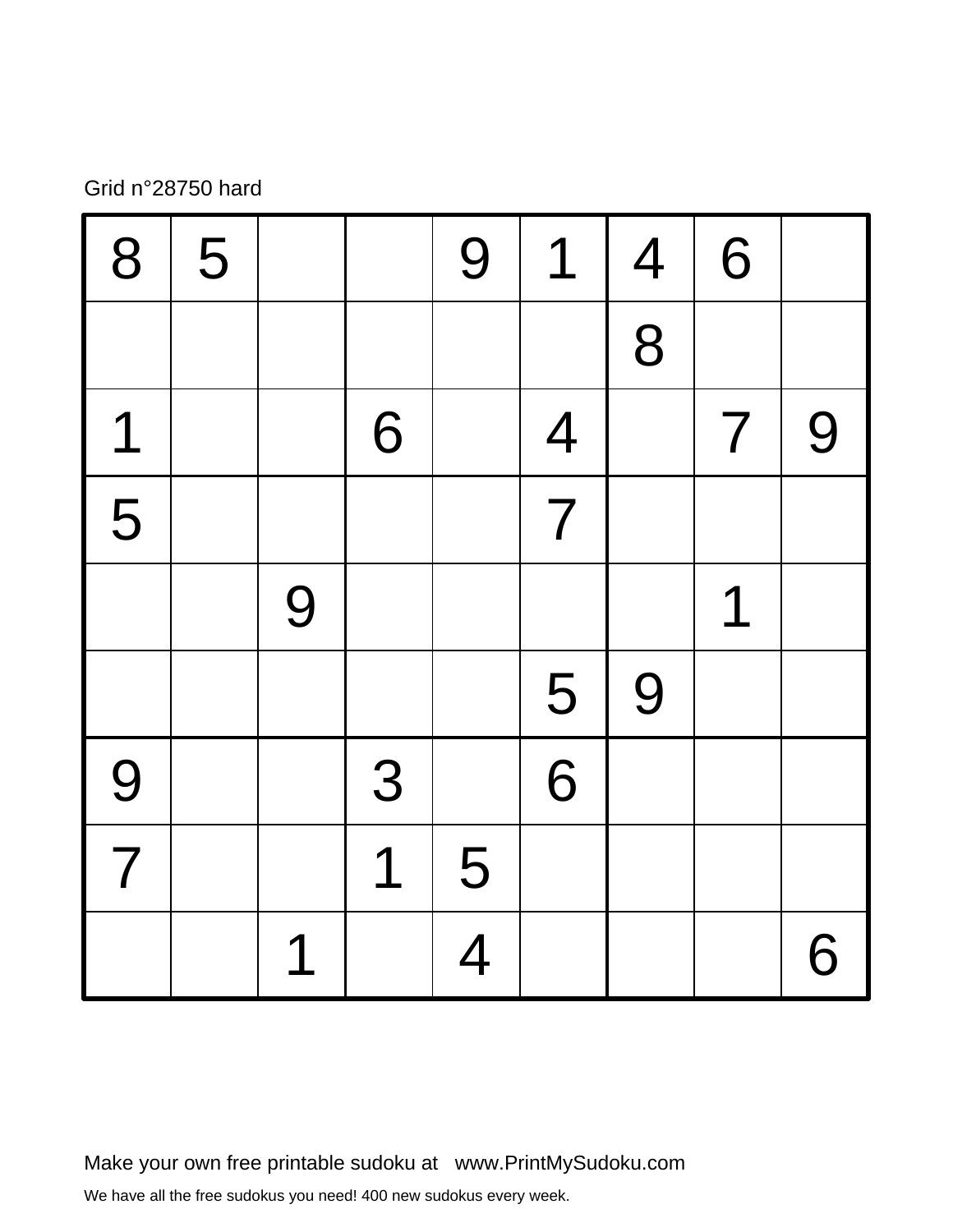## Grid n°28750 hard

| 8              | 5 |   |   | 9              | 1              | $\overline{4}$ | 6                        |   |
|----------------|---|---|---|----------------|----------------|----------------|--------------------------|---|
|                |   |   |   |                |                | 8              |                          |   |
| 1              |   |   | 6 |                | $\overline{4}$ |                | $\overline{\mathcal{I}}$ | 9 |
| 5              |   |   |   |                | $\overline{7}$ |                |                          |   |
|                |   | 9 |   |                |                |                | 1                        |   |
|                |   |   |   |                | 5              | 9              |                          |   |
| 9              |   |   | 3 |                | 6              |                |                          |   |
| $\overline{7}$ |   |   | 1 | 5              |                |                |                          |   |
|                |   | 1 |   | $\overline{4}$ |                |                |                          | 6 |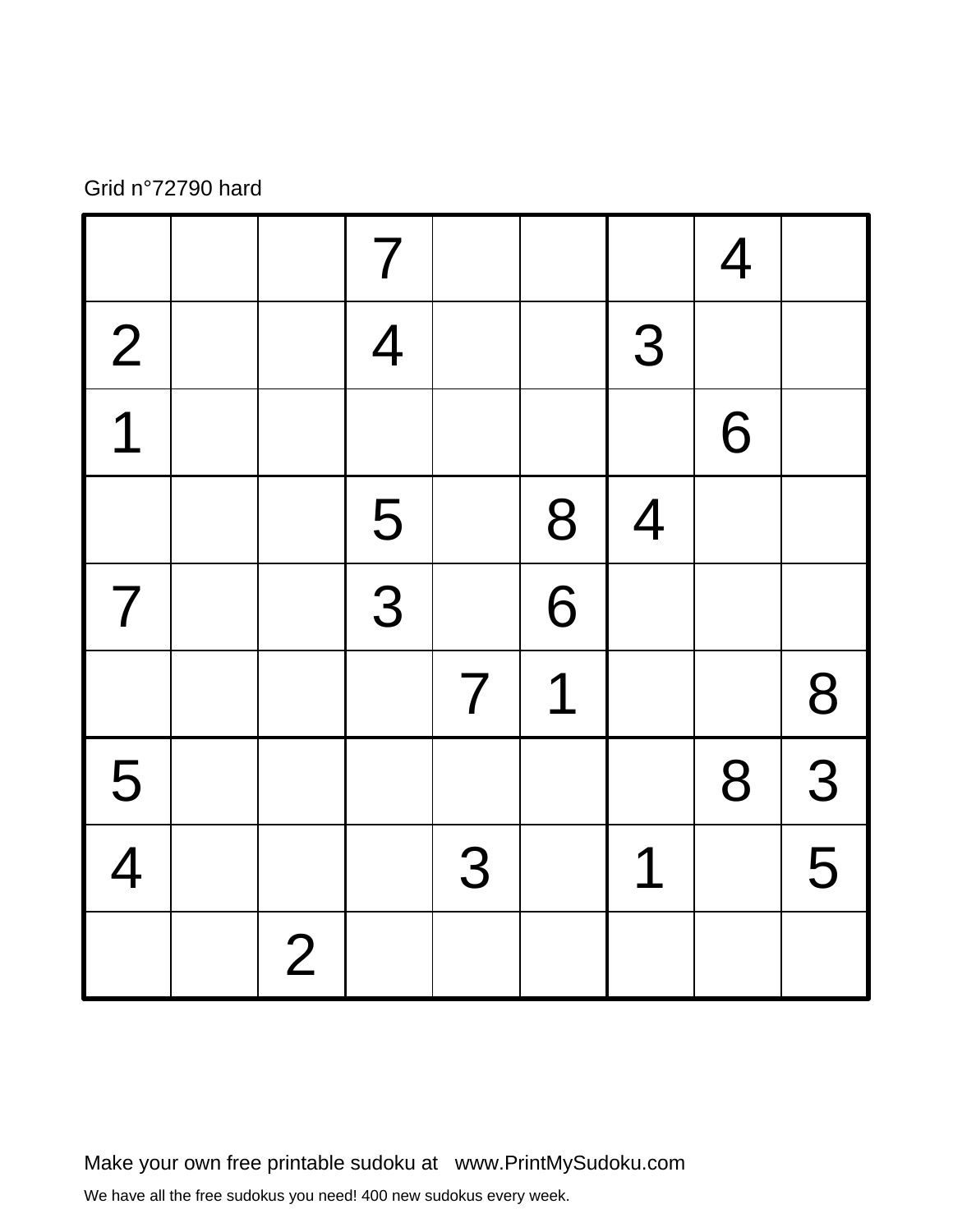#### Grid n°72790 hard

|                          |                | $\overline{7}$ |                |                |                | $\overline{4}$ |                           |
|--------------------------|----------------|----------------|----------------|----------------|----------------|----------------|---------------------------|
| $\frac{2}{1}$            |                | $\overline{4}$ |                |                | 3              |                |                           |
| $\overline{1}$           |                |                |                |                |                | 6              |                           |
|                          |                | 5              |                | 8              | $\overline{4}$ |                |                           |
| $\overline{\mathcal{L}}$ |                | $\frac{1}{3}$  |                | $\overline{6}$ |                |                |                           |
|                          |                |                | $\overline{7}$ | 1              |                |                | 8                         |
| $\frac{5}{4}$            |                |                |                |                |                | 8              | $\frac{1}{3}$             |
|                          |                |                | 3              |                | 1              |                | $\overline{\overline{5}}$ |
|                          | $\overline{2}$ |                |                |                |                |                |                           |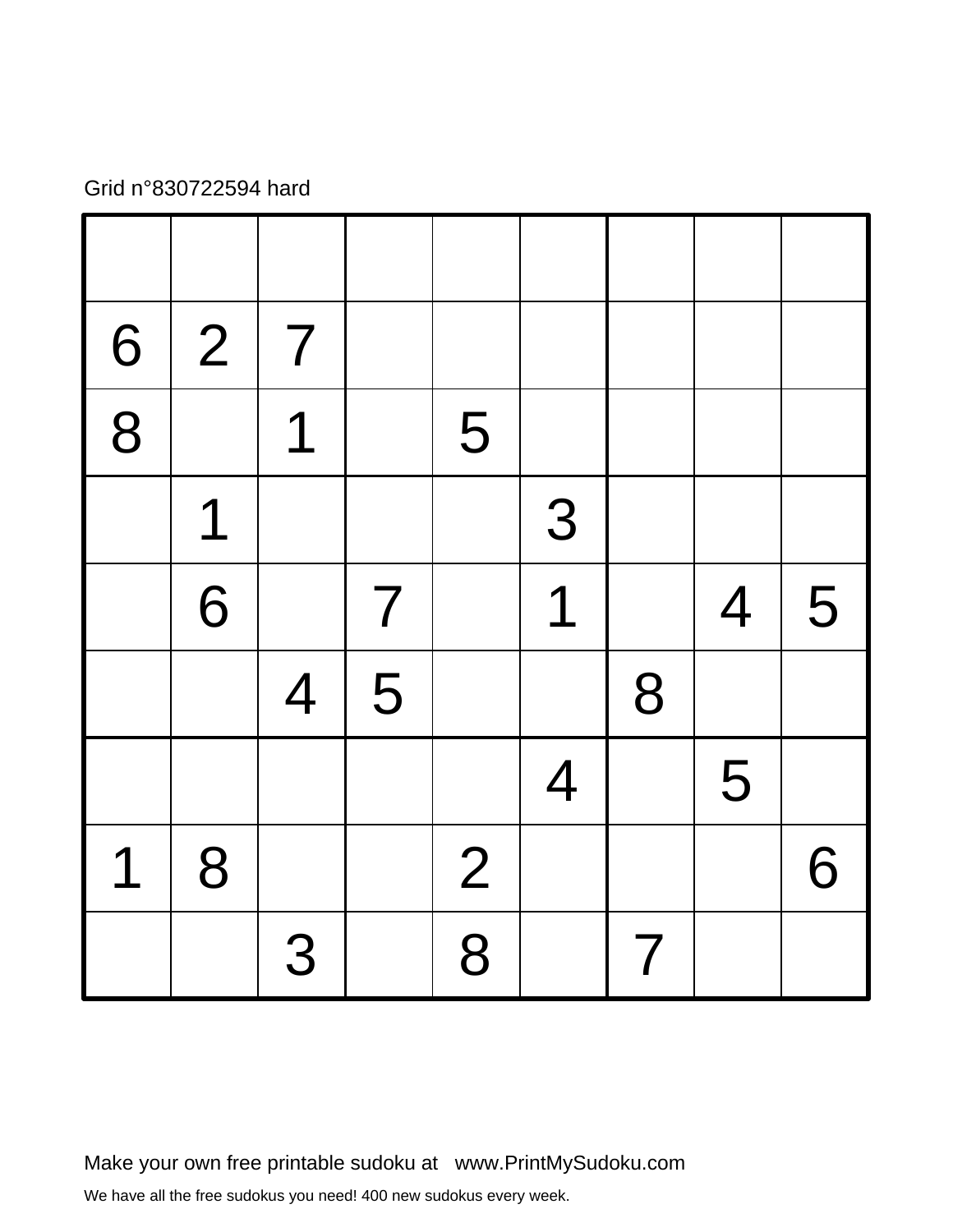## Grid n°830722594 hard

| 6              | $\overline{2}$ | $\overline{7}$ |                          |                |                         |                          |                |   |
|----------------|----------------|----------------|--------------------------|----------------|-------------------------|--------------------------|----------------|---|
| $\overline{8}$ |                | 1              |                          | 5              |                         |                          |                |   |
|                | 1              |                |                          |                | 3                       |                          |                |   |
|                | 6              |                | $\overline{\mathcal{L}}$ |                | $\overline{\mathbf{1}}$ |                          | $\overline{4}$ | 5 |
|                |                | $\overline{4}$ | 5                        |                |                         | 8                        |                |   |
|                |                |                |                          |                | $\overline{4}$          |                          | 5              |   |
| 1              | 8              |                |                          | $\overline{2}$ |                         |                          |                | 6 |
|                |                | 3              |                          | 8              |                         | $\overline{\mathcal{I}}$ |                |   |